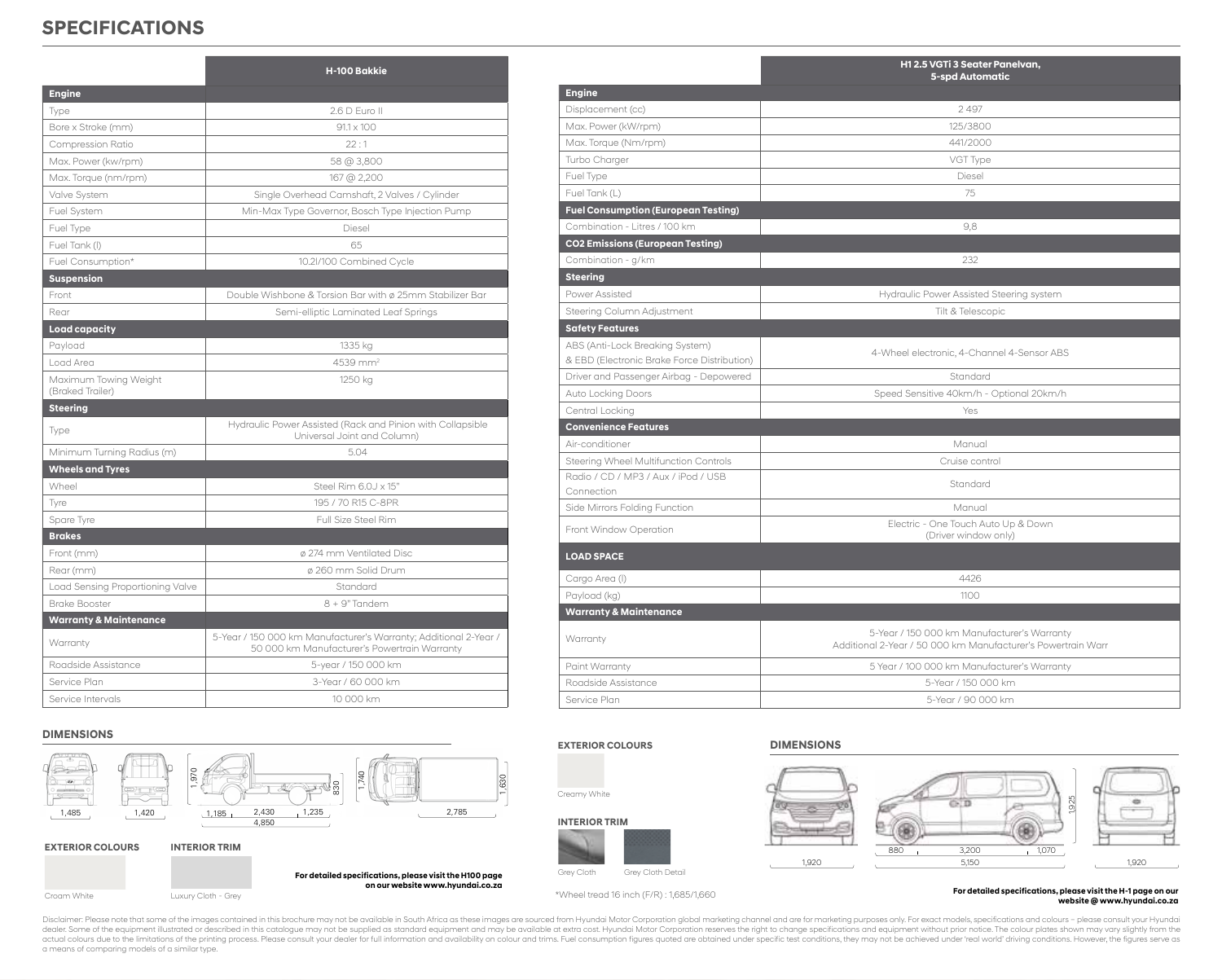## **SPECIFICATIONS**

|                                           | H-100 Bakkie                                                                                                     |
|-------------------------------------------|------------------------------------------------------------------------------------------------------------------|
| <b>Engine</b>                             |                                                                                                                  |
| Type                                      | 2.6 D Euro II                                                                                                    |
| Bore x Stroke (mm)                        | $91.1 \times 100$                                                                                                |
| Compression Ratio                         | 22:1                                                                                                             |
| Max. Power (kw/rpm)                       | 58 @ 3,800                                                                                                       |
| Max. Torque (nm/rpm)                      | 167 @ 2,200                                                                                                      |
| Valve System                              | Single Overhead Camshaft, 2 Valves / Cylinder                                                                    |
| Fuel System                               | Min-Max Type Governor, Bosch Type Injection Pump                                                                 |
| Fuel Type                                 | Diesel                                                                                                           |
| Fuel Tank (I)                             | 65                                                                                                               |
| Fuel Consumption*                         | 10.2l/100 Combined Cycle                                                                                         |
| <b>Suspension</b>                         |                                                                                                                  |
| Front                                     | Double Wishbone & Torsion Bar with ø 25mm Stabilizer Bar                                                         |
| Rear                                      | Semi-elliptic Laminated Leaf Springs                                                                             |
| <b>Load capacity</b>                      |                                                                                                                  |
| Payload                                   | 1335 kg                                                                                                          |
| Load Area                                 | $4539$ mm <sup>2</sup>                                                                                           |
| Maximum Towing Weight<br>(Braked Trailer) | 1250 kg                                                                                                          |
| <b>Steering</b>                           |                                                                                                                  |
| Type                                      | Hydraulic Power Assisted (Rack and Pinion with Collapsible<br>Universal Joint and Column)                        |
| Minimum Turning Radius (m)                | 5.04                                                                                                             |
| <b>Wheels and Tyres</b>                   |                                                                                                                  |
| Wheel                                     | Steel Rim 6.0J x 15"                                                                                             |
| Tyre                                      | 195 / 70 R15 C-8PR                                                                                               |
| Spare Tyre                                | Full Size Steel Rim                                                                                              |
| <b>Brakes</b>                             |                                                                                                                  |
| Front (mm)                                | Ø 274 mm Ventilated Disc                                                                                         |
| Rear (mm)                                 | ø 260 mm Solid Drum                                                                                              |
| Load Sensing Proportioning Valve          | Standard                                                                                                         |
| Brake Booster                             | $8 + 9"$ Tandem                                                                                                  |
| <b>Warranty &amp; Maintenance</b>         |                                                                                                                  |
| Warranty                                  | 5-Year / 150 000 km Manufacturer's Warranty; Additional 2-Year /<br>50 000 km Manufacturer's Powertrain Warranty |
| Roadside Assistance                       | 5-year / 150 000 km                                                                                              |
| Service Plan                              | 3-Year / 60,000 km                                                                                               |
| Service Intervals                         | 10 000 km                                                                                                        |

#### **DIMENSIONS**



|                                             | H12.5 VGTi 3 Seater Panelvan,<br><b>5-spd Automatic</b>                                                     |
|---------------------------------------------|-------------------------------------------------------------------------------------------------------------|
| <b>Engine</b>                               |                                                                                                             |
| Displacement (cc)                           | 2497                                                                                                        |
| Max. Power (kW/rpm)                         | 125/3800                                                                                                    |
| Max. Torque (Nm/rpm)                        | 441/2000                                                                                                    |
| Turbo Charger                               | VGT Type                                                                                                    |
| Fuel Type                                   | Diesel                                                                                                      |
| Fuel Tank (L)                               | 75                                                                                                          |
| <b>Fuel Consumption (European Testing)</b>  |                                                                                                             |
| Combination - Litres / 100 km               | 9.8                                                                                                         |
| <b>CO2 Emissions (European Testing)</b>     |                                                                                                             |
| Combination - g/km                          | 232                                                                                                         |
| <b>Steering</b>                             |                                                                                                             |
| Power Assisted                              | Hydraulic Power Assisted Steering system                                                                    |
| Steering Column Adjustment                  | Tilt & Telescopic                                                                                           |
| <b>Safety Features</b>                      |                                                                                                             |
| ABS (Anti-Lock Breaking System)             | 4-Wheel electronic, 4-Channel 4-Sensor ABS                                                                  |
| & EBD (Electronic Brake Force Distribution) |                                                                                                             |
| Driver and Passenger Airbag - Depowered     | Standard                                                                                                    |
| Auto Locking Doors                          | Speed Sensitive 40km/h - Optional 20km/h                                                                    |
| Central Locking                             | Yes                                                                                                         |
| <b>Convenience Features</b>                 |                                                                                                             |
| Air-conditioner                             | Manual                                                                                                      |
| Steering Wheel Multifunction Controls       | Cruise control                                                                                              |
| Radio / CD / MP3 / Aux / iPod / USB         | Standard                                                                                                    |
| Connection                                  | Manual                                                                                                      |
| Side Mirrors Folding Function               | Electric - One Touch Auto Up & Down                                                                         |
| Front Window Operation                      | (Driver window only)                                                                                        |
| <b>LOAD SPACE</b>                           |                                                                                                             |
| Cargo Area (I)                              | 4426                                                                                                        |
| Payload (kg)                                | 1100                                                                                                        |
| <b>Warranty &amp; Maintenance</b>           |                                                                                                             |
| Warranty                                    | 5-Year / 150 000 km Manufacturer's Warranty<br>Additional 2-Year / 50 000 km Manufacturer's Powertrain Warr |
| Paint Warranty                              | 5 Year / 100 000 km Manufacturer's Warranty                                                                 |
| Roadside Assistance                         | 5-Year / 150 000 km                                                                                         |

#### **EXTERIOR COLOURS**





#### **INTERIOR TRIM**



\*Wheel tread 16 inch (F/R) : 1,685/1,660

#### **DIMENSIONS**

Service Plan 5-Year / 90 000 km



For detailed specifications, please visit the H-1 page on our **website @ www.hyundai.co.za**

Disclaimer: Please note that some of the images contained in this brochure may not be available in South Africa as these images are sourced from Hyundai Motor Corporation global marketing channel and are for marketing purp actual colours due to the limitations of the printing process. Please consult your dealer for full information and availability on colour and trims. Fuel consumption figures quoted are obtained under specific test conditio a means of comparing models of a similar type.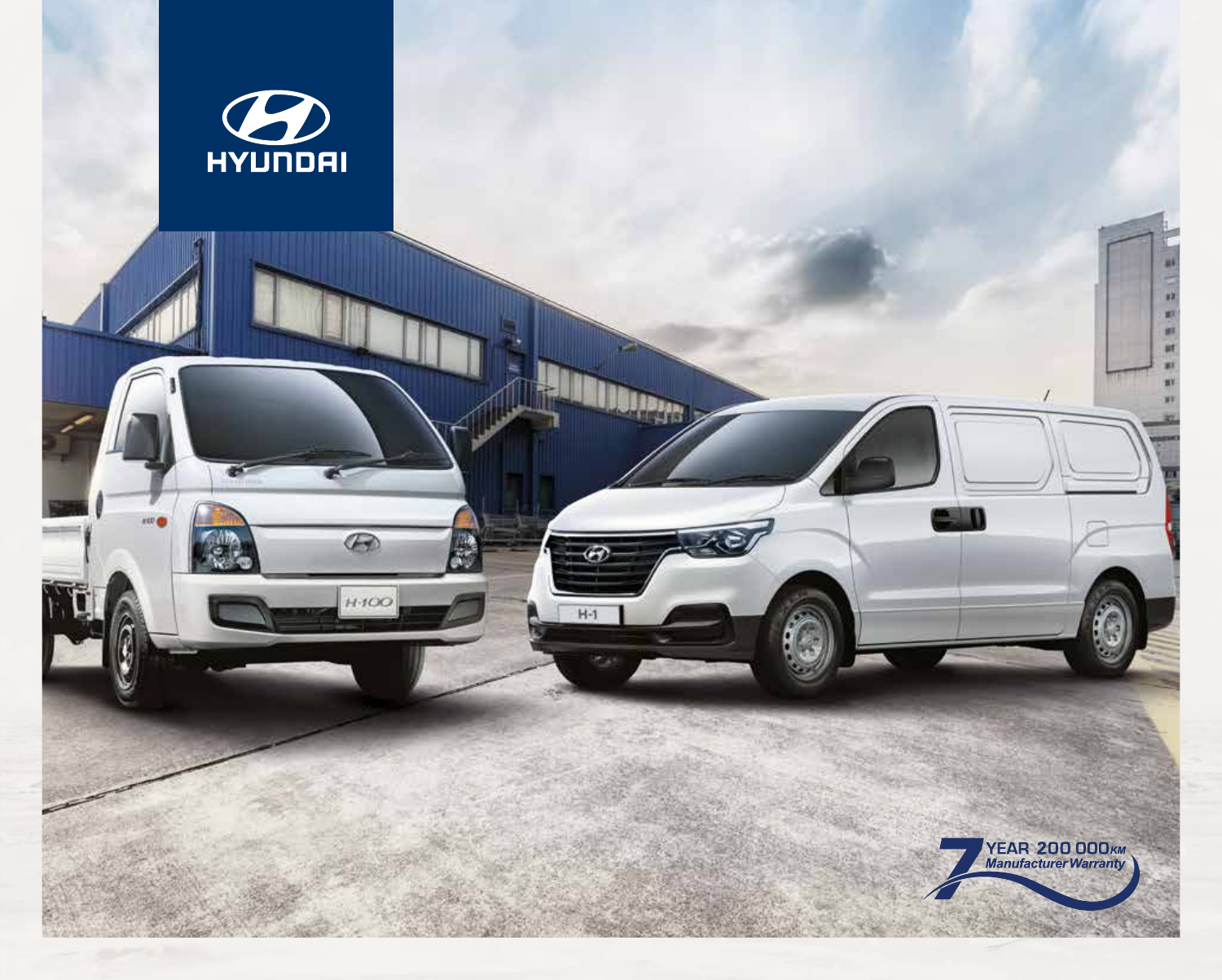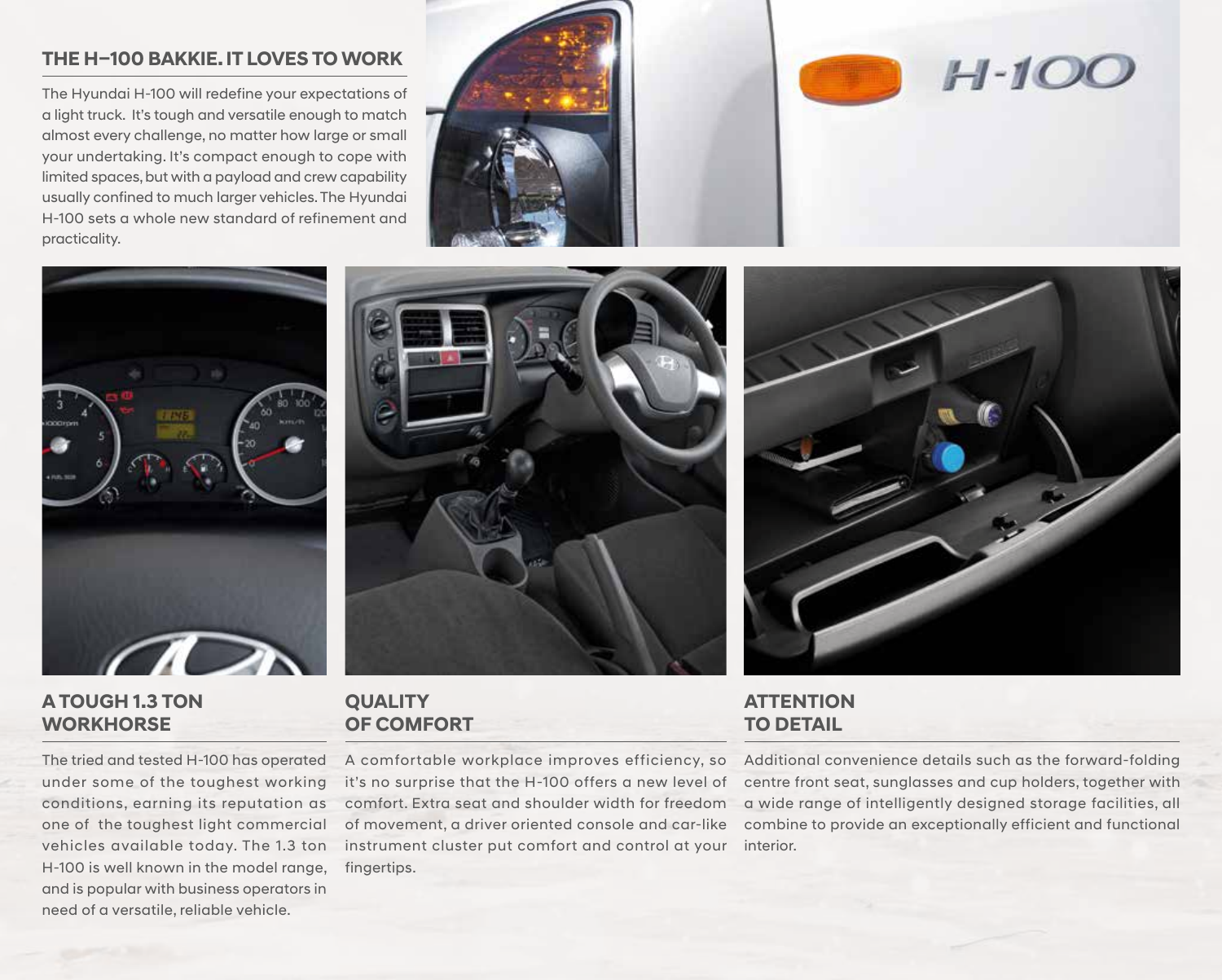### **THE H–100 BAKKIE. IT LOVES TO WORK**

The Hyundai H-100 will redefine your expectations of a light truck. It's tough and versatile enough to match almost every challenge, no matter how large or small your undertaking. It's compact enough to cope with limited spaces, but with a payload and crew capability usually confined to much larger vehicles. The Hyundai H-100 sets a whole new standard of refinement and practicality.







### **A TOUGH 1.3 TON WORKHORSE**

The tried and tested H-100 has operated under some of the toughest working conditions, earning its reputation as one of the toughest light commercial vehicles available today. The 1.3 ton H-100 is well known in the model range, and is popular with business operators in need of a versatile, reliable vehicle.



### **QUALITY OF COMFORT**

A comfortable workplace improves efficiency, so it's no surprise that the H-100 offers a new level of comfort. Extra seat and shoulder width for freedom of movement, a driver oriented console and car-like instrument cluster put comfort and control at your fingertips.

# **ATTENTION TO DETAIL**

Additional convenience details such as the forward-folding centre front seat, sunglasses and cup holders, together with a wide range of intelligently designed storage facilities, all combine to provide an exceptionally efficient and functional interior.